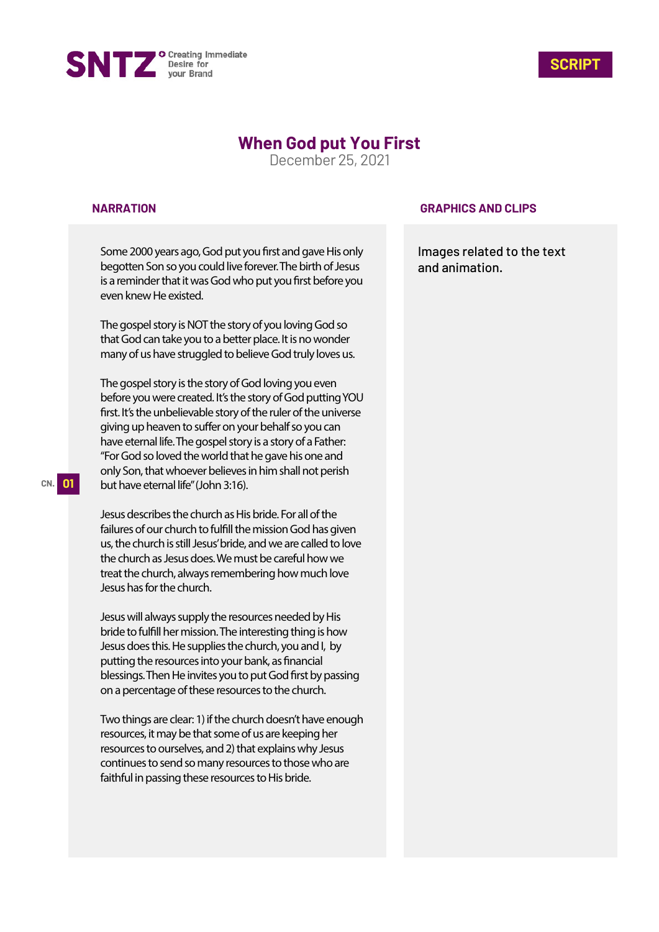



# **When God put You First**

December 25, 2021

### **NARRATION**

Some 2000 years ago, God put you first and gave His only begotten Son so you could live forever. The birth of Jesus is a reminder that it was God who put you first before you even knew He existed.

The gospel story is NOT the story of you loving God so that God can take you to a better place. It is no wonder many of us have struggled to believe God truly loves us.

The gospel story is the story of God loving you even before you were created. It's the story of God putting YOU first. It's the unbelievable story of the ruler of the universe giving up heaven to suffer on your behalf so you can have eternal life. The gospel story is a story of a Father: "For God so loved the world that he gave his one and only Son, that whoever believes in him shall not perish but have eternal life" (John 3:16).

Jesus describes the church as His bride. For all of the failures of our church to fulfill the mission God has given us, the church is still Jesus' bride, and we are called to love the church as Jesus does. We must be careful how we treat the church, always remembering how much love Jesus has for the church.

Jesus will always supply the resources needed by His bride to fulfill her mission. The interesting thing is how Jesus does this. He supplies the church, you and I, by putting the resources into your bank, as financial blessings. Then He invites you to put God first by passing on a percentage of these resources to the church.

Two things are clear: 1) if the church doesn't have enough resources, it may be that some of us are keeping her resources to ourselves, and 2) that explains why Jesus continues to send so many resources to those who are faithful in passing these resources to His bride.

#### **GRAPHICS AND CLIPS**

Images related to the text and animation.